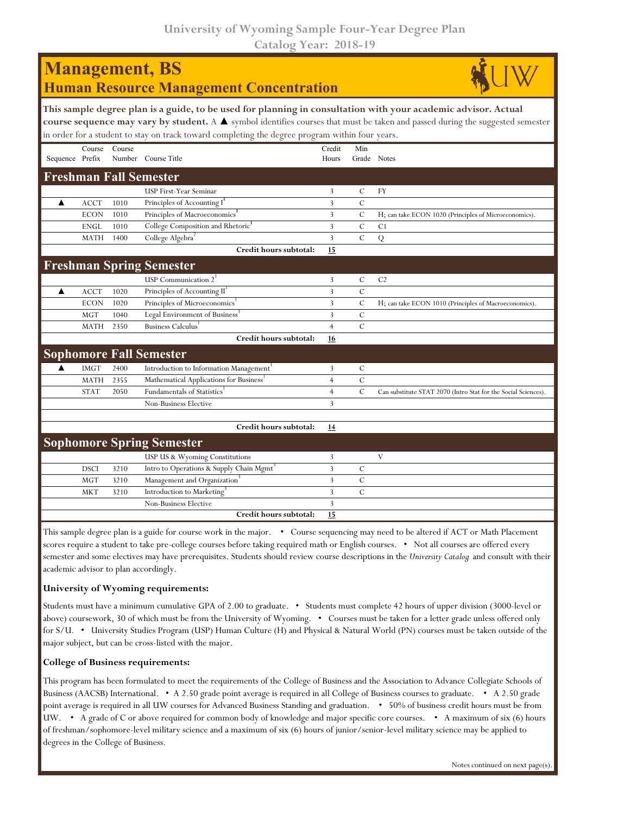|                 |             |        | <b>Management, BS</b><br><b>Human Resource Management Concentration</b>                                                                                                                                           |                 |                |                                                                                                                                               |
|-----------------|-------------|--------|-------------------------------------------------------------------------------------------------------------------------------------------------------------------------------------------------------------------|-----------------|----------------|-----------------------------------------------------------------------------------------------------------------------------------------------|
|                 |             |        | This sample degree plan is a guide, to be used for planning in consultation with your academic advisor. Actual<br>in order for a student to stay on track toward completing the degree program within four years. |                 |                | course sequence may vary by student. A $\blacktriangle$ symbol identifies courses that must be taken and passed during the suggested semester |
| Sequence Prefix | Course      | Course | Number Course Title                                                                                                                                                                                               | Credit<br>Hours | Min            | Grade Notes                                                                                                                                   |
|                 |             |        | <b>Freshman Fall Semester</b>                                                                                                                                                                                     |                 |                |                                                                                                                                               |
|                 |             |        | USP First-Year Seminar                                                                                                                                                                                            | 3               | $\mathcal{C}$  | <b>FY</b>                                                                                                                                     |
| ▲               | <b>ACCT</b> | 1010   | Principles of Accounting I                                                                                                                                                                                        | 3               | $\mathcal{C}$  |                                                                                                                                               |
|                 | <b>ECON</b> | 1010   | Principles of Macroeconomics <sup>1</sup>                                                                                                                                                                         | 3               | $\mathcal{C}$  | H; can take ECON 1020 (Principles of Microeconomics).                                                                                         |
|                 | <b>ENGL</b> | 1010   | College Composition and Rhetoric <sup>1</sup>                                                                                                                                                                     | 3               | $\mathcal{C}$  | C1                                                                                                                                            |
|                 | <b>MATH</b> | 1400   | College Algebra <sup>2</sup>                                                                                                                                                                                      | 3               | $\overline{C}$ | $\overline{Q}$                                                                                                                                |
|                 |             |        | Credit hours subtotal:                                                                                                                                                                                            | 15              |                |                                                                                                                                               |
|                 |             |        | <b>Freshman Spring Semester</b>                                                                                                                                                                                   |                 |                |                                                                                                                                               |
|                 |             |        | USP Communication $21$                                                                                                                                                                                            | 3               | $\mathcal{C}$  | C <sub>2</sub>                                                                                                                                |
| ▲               | <b>ACCT</b> | 1020   | Principles of Accounting II <sup>1</sup>                                                                                                                                                                          | 3               | $\mathcal{C}$  |                                                                                                                                               |
|                 | <b>ECON</b> | 1020   | Principles of Microeconomics <sup>1</sup>                                                                                                                                                                         | 3               | $\mathsf{C}$   | H; can take ECON 1010 (Principles of Macroeconomics).                                                                                         |
|                 | <b>MGT</b>  | 1040   | Legal Environment of Business <sup>3</sup>                                                                                                                                                                        | 3               | $\mathcal{C}$  |                                                                                                                                               |
|                 | <b>MATH</b> | 2350   | Business Calculus                                                                                                                                                                                                 | $\overline{4}$  | $\mathcal{C}$  |                                                                                                                                               |
|                 |             |        | Credit hours subtotal:                                                                                                                                                                                            | 16              |                |                                                                                                                                               |
|                 |             |        | <b>Sophomore Fall Semester</b>                                                                                                                                                                                    |                 |                |                                                                                                                                               |
|                 | <b>IMGT</b> | 2400   | Introduction to Information Management <sup>1</sup>                                                                                                                                                               | 3               | $\mathsf{C}$   |                                                                                                                                               |
|                 | <b>MATH</b> | 2355   | Mathematical Applications for Business'                                                                                                                                                                           | $\overline{4}$  | $\mathcal{C}$  |                                                                                                                                               |
|                 | <b>STAT</b> | 2050   | Fundamentals of Statistics <sup>1</sup>                                                                                                                                                                           | $\overline{4}$  | $\mathcal{C}$  | Can substitute STAT 2070 (Intro Stat for the Social Sciences).                                                                                |
|                 |             |        | Non-Business Elective                                                                                                                                                                                             | 3               |                |                                                                                                                                               |
|                 |             |        |                                                                                                                                                                                                                   |                 |                |                                                                                                                                               |
|                 |             |        | Credit hours subtotal:                                                                                                                                                                                            | 14              |                |                                                                                                                                               |
|                 |             |        | <b>Sophomore Spring Semester</b>                                                                                                                                                                                  |                 |                |                                                                                                                                               |
|                 |             |        | USP US & Wyoming Constitutions                                                                                                                                                                                    | 3               |                | V                                                                                                                                             |
|                 | <b>DSCI</b> | 3210   | Intro to Operations & Supply Chain Mgmt <sup>3</sup>                                                                                                                                                              | 3               | $\mathcal{C}$  |                                                                                                                                               |
|                 | <b>MGT</b>  | 3210   | Management and Organization <sup>3</sup>                                                                                                                                                                          | 3               | $\mathsf{C}$   |                                                                                                                                               |
|                 | <b>MKT</b>  | 3210   | Introduction to Marketing <sup>3</sup>                                                                                                                                                                            | 3               | $\mathcal{C}$  |                                                                                                                                               |
|                 |             |        | <b>Non-Business Elective</b>                                                                                                                                                                                      | 3               |                |                                                                                                                                               |
|                 |             |        | Credit hours subtotal:                                                                                                                                                                                            | 15              |                |                                                                                                                                               |

This sample degree plan is a guide for course work in the major. • Course sequencing may need to be altered if ACT or Math Placement scores require a student to take pre-college courses before taking required math or English courses. • Not all courses are offered every semester and some electives may have prerequisites. Students should review course descriptions in the *University Catalog* and consult with their academic advisor to plan accordingly.

## **University of Wyoming requirements:**

Students must have a minimum cumulative GPA of 2.00 to graduate. • Students must complete 42 hours of upper division (3000-level or above) coursework, 30 of which must be from the University of Wyoming. • Courses must be taken for a letter grade unless offered only for S/U. • University Studies Program (USP) Human Culture (H) and Physical & Natural World (PN) courses must be taken outside of the major subject, but can be cross-listed with the major.

## **College of Business requirements:**

This program has been formulated to meet the requirements of the College of Business and the Association to Advance Collegiate Schools of Business (AACSB) International. • A 2.50 grade point average is required in all College of Business courses to graduate. • A 2.50 grade point average is required in all UW courses for Advanced Business Standing and graduation. • 50% of business credit hours must be from UW. • A grade of C or above required for common body of knowledge and major specific core courses. • A maximum of six (6) hours of freshman/sophomore-level military science and a maximum of six (6) hours of junior/senior-level military science may be applied to degrees in the College of Business.